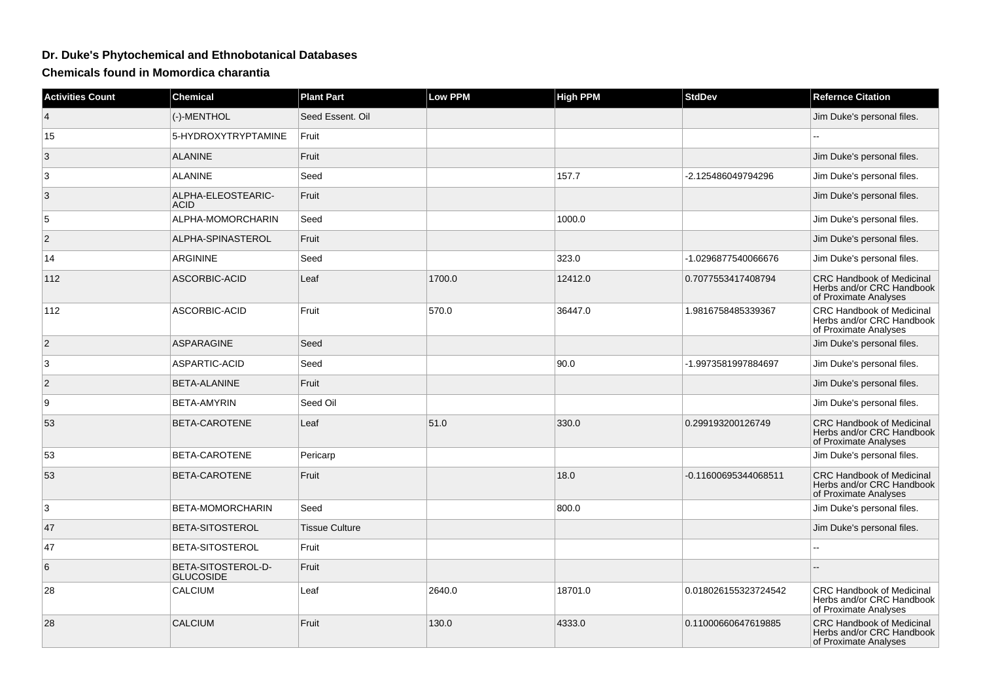## **Dr. Duke's Phytochemical and Ethnobotanical Databases**

**Chemicals found in Momordica charantia**

| <b>Activities Count</b> | <b>Chemical</b>                        | <b>Plant Part</b>     | <b>Low PPM</b> | <b>High PPM</b> | <b>StdDev</b>        | <b>Refernce Citation</b>                                                               |
|-------------------------|----------------------------------------|-----------------------|----------------|-----------------|----------------------|----------------------------------------------------------------------------------------|
| $\overline{4}$          | (-)-MENTHOL                            | Seed Essent, Oil      |                |                 |                      | Jim Duke's personal files.                                                             |
| 15                      | 5-HYDROXYTRYPTAMINE                    | Fruit                 |                |                 |                      |                                                                                        |
| 3                       | <b>ALANINE</b>                         | Fruit                 |                |                 |                      | Jim Duke's personal files.                                                             |
| 3                       | <b>ALANINE</b>                         | Seed                  |                | 157.7           | -2.125486049794296   | Jim Duke's personal files.                                                             |
| 3                       | ALPHA-ELEOSTEARIC-<br><b>ACID</b>      | Fruit                 |                |                 |                      | Jim Duke's personal files.                                                             |
| 5                       | ALPHA-MOMORCHARIN                      | Seed                  |                | 1000.0          |                      | Jim Duke's personal files.                                                             |
| $\overline{2}$          | ALPHA-SPINASTEROL                      | Fruit                 |                |                 |                      | Jim Duke's personal files.                                                             |
| 14                      | ARGININE                               | Seed                  |                | 323.0           | -1.0296877540066676  | Jim Duke's personal files.                                                             |
| 112                     | ASCORBIC-ACID                          | Leaf                  | 1700.0         | 12412.0         | 0.7077553417408794   | <b>CRC Handbook of Medicinal</b><br>Herbs and/or CRC Handbook<br>of Proximate Analyses |
| 112                     | ASCORBIC-ACID                          | Fruit                 | 570.0          | 36447.0         | 1.9816758485339367   | CRC Handbook of Medicinal<br>Herbs and/or CRC Handbook<br>of Proximate Analyses        |
| $\overline{2}$          | <b>ASPARAGINE</b>                      | Seed                  |                |                 |                      | Jim Duke's personal files.                                                             |
| 3                       | <b>ASPARTIC-ACID</b>                   | Seed                  |                | 90.0            | -1.9973581997884697  | Jim Duke's personal files.                                                             |
| 2                       | <b>BETA-ALANINE</b>                    | Fruit                 |                |                 |                      | Jim Duke's personal files.                                                             |
| 9                       | <b>BETA-AMYRIN</b>                     | Seed Oil              |                |                 |                      | Jim Duke's personal files.                                                             |
| 53                      | BETA-CAROTENE                          | Leaf                  | 51.0           | 330.0           | 0.299193200126749    | <b>CRC Handbook of Medicinal</b><br>Herbs and/or CRC Handbook<br>of Proximate Analyses |
| 53                      | BETA-CAROTENE                          | Pericarp              |                |                 |                      | Jim Duke's personal files.                                                             |
| 53                      | BETA-CAROTENE                          | Fruit                 |                | 18.0            | -0.11600695344068511 | <b>CRC Handbook of Medicinal</b><br>Herbs and/or CRC Handbook<br>of Proximate Analyses |
| 3                       | BETA-MOMORCHARIN                       | Seed                  |                | 800.0           |                      | Jim Duke's personal files.                                                             |
| 47                      | BETA-SITOSTEROL                        | <b>Tissue Culture</b> |                |                 |                      | Jim Duke's personal files.                                                             |
| 47                      | BETA-SITOSTEROL                        | Fruit                 |                |                 |                      |                                                                                        |
| 6                       | BETA-SITOSTEROL-D-<br><b>GLUCOSIDE</b> | Fruit                 |                |                 |                      |                                                                                        |
| 28                      | CALCIUM                                | Leaf                  | 2640.0         | 18701.0         | 0.018026155323724542 | CRC Handbook of Medicinal<br>Herbs and/or CRC Handbook<br>of Proximate Analyses        |
| 28                      | <b>CALCIUM</b>                         | Fruit                 | 130.0          | 4333.0          | 0.11000660647619885  | <b>CRC Handbook of Medicinal</b><br>Herbs and/or CRC Handbook<br>of Proximate Analyses |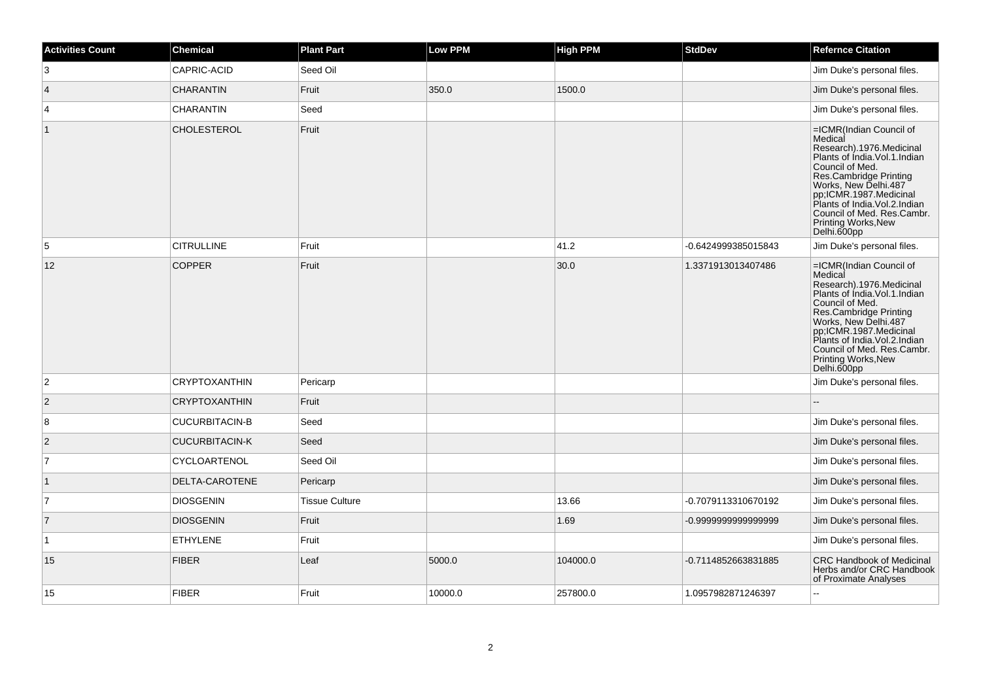| <b>Activities Count</b> | <b>Chemical</b>       | <b>Plant Part</b>     | Low PPM | High PPM | <b>StdDev</b>       | <b>Refernce Citation</b>                                                                                                                                                                                                                                                                                       |
|-------------------------|-----------------------|-----------------------|---------|----------|---------------------|----------------------------------------------------------------------------------------------------------------------------------------------------------------------------------------------------------------------------------------------------------------------------------------------------------------|
| 3                       | CAPRIC-ACID           | Seed Oil              |         |          |                     | Jim Duke's personal files.                                                                                                                                                                                                                                                                                     |
| $\overline{4}$          | <b>CHARANTIN</b>      | Fruit                 | 350.0   | 1500.0   |                     | Jim Duke's personal files.                                                                                                                                                                                                                                                                                     |
| 4                       | <b>CHARANTIN</b>      | Seed                  |         |          |                     | Jim Duke's personal files.                                                                                                                                                                                                                                                                                     |
| $\mathbf{1}$            | <b>CHOLESTEROL</b>    | Fruit                 |         |          |                     | =ICMR(Indian Council of<br>Medical<br>Research).1976.Medicinal<br>Plants of Índia. Vol. 1. Indian<br>Council of Med.<br>Res.Cambridge Printing<br>Works, New Delhi.487<br>pp;ICMR.1987.Medicinal<br>Plants of India. Vol. 2. Indian<br>Council of Med. Res.Cambr.<br><b>Printing Works, New</b><br>Delhi.600pp |
| $\sqrt{5}$              | <b>CITRULLINE</b>     | Fruit                 |         | 41.2     | -0.6424999385015843 | Jim Duke's personal files.                                                                                                                                                                                                                                                                                     |
| 12                      | <b>COPPER</b>         | Fruit                 |         | 30.0     | 1.3371913013407486  | =ICMR(Indian Council of<br>Medical<br>Research).1976.Medicinal<br>Plants of India. Vol. 1. Indian<br>Council of Med.<br>Res.Cambridge Printing<br>Works, New Delhi.487<br>pp,ICMR.1987.Medicinal<br>Plants of India. Vol. 2. Indian<br>Council of Med. Res.Cambr.<br>Printing Works, New<br>Delhi.600pp        |
| $\overline{c}$          | <b>CRYPTOXANTHIN</b>  | Pericarp              |         |          |                     | Jim Duke's personal files.                                                                                                                                                                                                                                                                                     |
| $\overline{2}$          | <b>CRYPTOXANTHIN</b>  | Fruit                 |         |          |                     |                                                                                                                                                                                                                                                                                                                |
| 8                       | <b>CUCURBITACIN-B</b> | Seed                  |         |          |                     | Jim Duke's personal files.                                                                                                                                                                                                                                                                                     |
| $\overline{2}$          | <b>CUCURBITACIN-K</b> | Seed                  |         |          |                     | Jim Duke's personal files.                                                                                                                                                                                                                                                                                     |
| $\overline{7}$          | CYCLOARTENOL          | Seed Oil              |         |          |                     | Jim Duke's personal files.                                                                                                                                                                                                                                                                                     |
| $\mathbf{1}$            | DELTA-CAROTENE        | Pericarp              |         |          |                     | Jim Duke's personal files.                                                                                                                                                                                                                                                                                     |
| $\overline{7}$          | <b>DIOSGENIN</b>      | <b>Tissue Culture</b> |         | 13.66    | -0.7079113310670192 | Jim Duke's personal files.                                                                                                                                                                                                                                                                                     |
| $\overline{7}$          | <b>DIOSGENIN</b>      | Fruit                 |         | 1.69     | -0.9999999999999999 | Jim Duke's personal files.                                                                                                                                                                                                                                                                                     |
| 1                       | <b>ETHYLENE</b>       | Fruit                 |         |          |                     | Jim Duke's personal files.                                                                                                                                                                                                                                                                                     |
| 15                      | <b>FIBER</b>          | Leaf                  | 5000.0  | 104000.0 | -0.7114852663831885 | <b>CRC Handbook of Medicinal</b><br>Herbs and/or CRC Handbook<br>of Proximate Analyses                                                                                                                                                                                                                         |
| 15                      | <b>FIBER</b>          | Fruit                 | 10000.0 | 257800.0 | 1.0957982871246397  |                                                                                                                                                                                                                                                                                                                |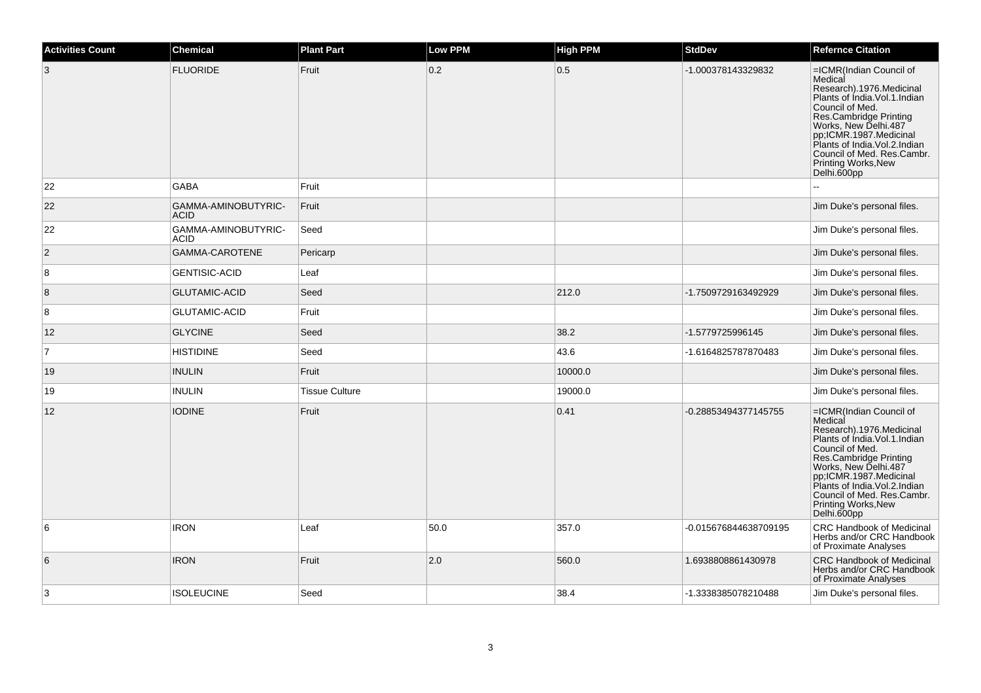| <b>Activities Count</b> | <b>Chemical</b>                    | <b>Plant Part</b>     | <b>Low PPM</b> | <b>High PPM</b> | <b>StdDev</b>         | <b>Refernce Citation</b>                                                                                                                                                                                                                                                                                       |
|-------------------------|------------------------------------|-----------------------|----------------|-----------------|-----------------------|----------------------------------------------------------------------------------------------------------------------------------------------------------------------------------------------------------------------------------------------------------------------------------------------------------------|
| 3                       | <b>FLUORIDE</b>                    | Fruit                 | 0.2            | 0.5             | -1.000378143329832    | =ICMR(Indian Council of<br>Medical<br>Research).1976.Medicinal<br>Plants of India. Vol. 1. Indian<br>Council of Med.<br>Res.Cambridge Printing<br>Works, New Delhi.487<br>pp;ICMR.1987.Medicinal<br>Plants of India. Vol. 2. Indian<br>Council of Med. Res.Cambr.<br>Printing Works, New<br>Delhi.600pp        |
| 22                      | <b>GABA</b>                        | Fruit                 |                |                 |                       |                                                                                                                                                                                                                                                                                                                |
| 22                      | GAMMA-AMINOBUTYRIC-<br><b>ACID</b> | Fruit                 |                |                 |                       | Jim Duke's personal files.                                                                                                                                                                                                                                                                                     |
| 22                      | GAMMA-AMINOBUTYRIC-<br><b>ACID</b> | Seed                  |                |                 |                       | Jim Duke's personal files.                                                                                                                                                                                                                                                                                     |
| $\overline{2}$          | GAMMA-CAROTENE                     | Pericarp              |                |                 |                       | Jim Duke's personal files.                                                                                                                                                                                                                                                                                     |
| 8                       | <b>GENTISIC-ACID</b>               | Leaf                  |                |                 |                       | Jim Duke's personal files.                                                                                                                                                                                                                                                                                     |
| 8                       | <b>GLUTAMIC-ACID</b>               | Seed                  |                | 212.0           | -1.7509729163492929   | Jim Duke's personal files.                                                                                                                                                                                                                                                                                     |
| 8                       | <b>GLUTAMIC-ACID</b>               | Fruit                 |                |                 |                       | Jim Duke's personal files.                                                                                                                                                                                                                                                                                     |
| 12                      | <b>GLYCINE</b>                     | Seed                  |                | 38.2            | -1.5779725996145      | Jim Duke's personal files.                                                                                                                                                                                                                                                                                     |
| 7                       | <b>HISTIDINE</b>                   | Seed                  |                | 43.6            | -1.6164825787870483   | Jim Duke's personal files.                                                                                                                                                                                                                                                                                     |
| 19                      | <b>INULIN</b>                      | Fruit                 |                | 10000.0         |                       | Jim Duke's personal files.                                                                                                                                                                                                                                                                                     |
| 19                      | <b>INULIN</b>                      | <b>Tissue Culture</b> |                | 19000.0         |                       | Jim Duke's personal files.                                                                                                                                                                                                                                                                                     |
| 12                      | <b>IODINE</b>                      | Fruit                 |                | 0.41            | -0.28853494377145755  | =ICMR(Indian Council of<br>Medical<br>Research).1976.Medicinal<br>Plants of India. Vol. 1. Indian<br>Council of Med.<br>Res.Cambridge Printing<br>Works, New Delhi.487<br>pp,ICMR.1987.Medicinal<br>Plants of India. Vol. 2. Indian<br>Council of Med. Res.Cambr.<br><b>Printing Works, New</b><br>Delhi.600pp |
| 6                       | <b>IRON</b>                        | Leaf                  | 50.0           | 357.0           | -0.015676844638709195 | CRC Handbook of Medicinal<br>Herbs and/or CRC Handbook<br>of Proximate Analyses                                                                                                                                                                                                                                |
| 6                       | <b>IRON</b>                        | Fruit                 | 2.0            | 560.0           | 1.6938808861430978    | <b>CRC Handbook of Medicinal</b><br>Herbs and/or CRC Handbook<br>of Proximate Analyses                                                                                                                                                                                                                         |
| 3                       | <b>ISOLEUCINE</b>                  | Seed                  |                | 38.4            | -1.3338385078210488   | Jim Duke's personal files.                                                                                                                                                                                                                                                                                     |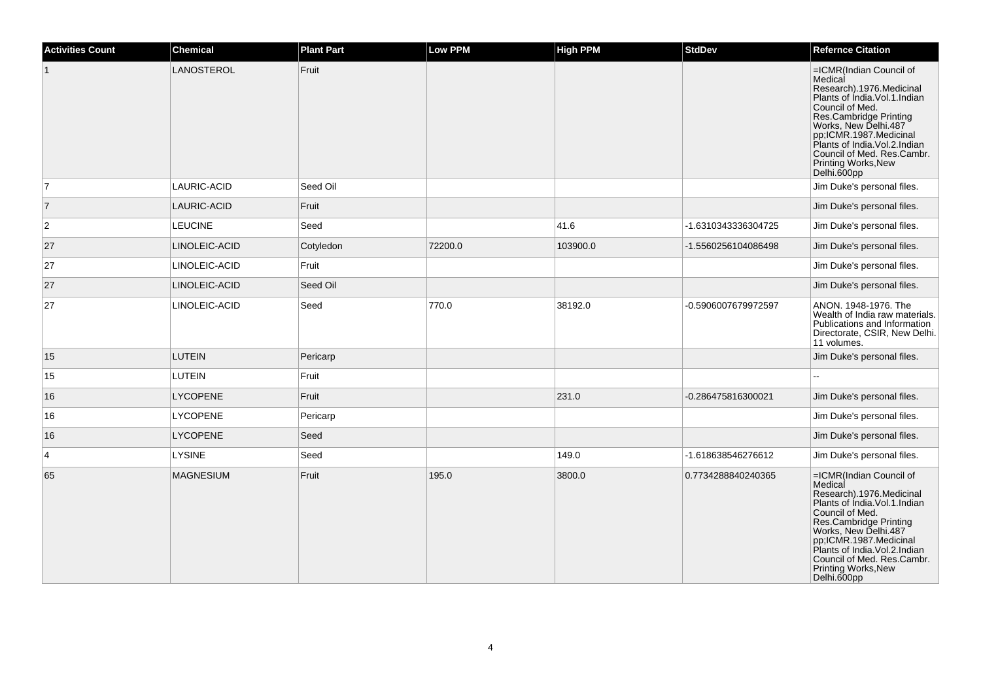| <b>Activities Count</b> | <b>Chemical</b>  | <b>Plant Part</b> | <b>Low PPM</b> | <b>High PPM</b> | <b>StdDev</b>       | <b>Refernce Citation</b>                                                                                                                                                                                                                                                                                |
|-------------------------|------------------|-------------------|----------------|-----------------|---------------------|---------------------------------------------------------------------------------------------------------------------------------------------------------------------------------------------------------------------------------------------------------------------------------------------------------|
|                         | LANOSTEROL       | Fruit             |                |                 |                     | =ICMR(Indian Council of<br>Medical<br>Research).1976.Medicinal<br>Plants of India. Vol. 1. Indian<br>Council of Med.<br>Res.Cambridge Printing<br>Works, New Delhi.487<br>pp;ICMR.1987.Medicinal<br>Plants of India. Vol. 2. Indian<br>Council of Med. Res.Cambr.<br>Printing Works, New<br>Delhi.600pp |
| $\overline{7}$          | LAURIC-ACID      | Seed Oil          |                |                 |                     | Jim Duke's personal files.                                                                                                                                                                                                                                                                              |
| $\overline{7}$          | LAURIC-ACID      | Fruit             |                |                 |                     | Jim Duke's personal files.                                                                                                                                                                                                                                                                              |
| $\overline{c}$          | <b>LEUCINE</b>   | Seed              |                | 41.6            | -1.6310343336304725 | Jim Duke's personal files.                                                                                                                                                                                                                                                                              |
| 27                      | LINOLEIC-ACID    | Cotyledon         | 72200.0        | 103900.0        | -1.5560256104086498 | Jim Duke's personal files.                                                                                                                                                                                                                                                                              |
| 27                      | LINOLEIC-ACID    | Fruit             |                |                 |                     | Jim Duke's personal files.                                                                                                                                                                                                                                                                              |
| 27                      | LINOLEIC-ACID    | Seed Oil          |                |                 |                     | Jim Duke's personal files.                                                                                                                                                                                                                                                                              |
| 27                      | LINOLEIC-ACID    | Seed              | 770.0          | 38192.0         | -0.5906007679972597 | ANON. 1948-1976. The<br>Wealth of India raw materials.<br>Publications and Information<br>Directorate, CSIR, New Delhi.<br>11 volumes.                                                                                                                                                                  |
| 15                      | <b>LUTEIN</b>    | Pericarp          |                |                 |                     | Jim Duke's personal files.                                                                                                                                                                                                                                                                              |
| 15                      | <b>LUTEIN</b>    | Fruit             |                |                 |                     |                                                                                                                                                                                                                                                                                                         |
| 16                      | <b>LYCOPENE</b>  | Fruit             |                | 231.0           | -0.286475816300021  | Jim Duke's personal files.                                                                                                                                                                                                                                                                              |
| 16                      | <b>LYCOPENE</b>  | Pericarp          |                |                 |                     | Jim Duke's personal files.                                                                                                                                                                                                                                                                              |
| 16                      | <b>LYCOPENE</b>  | Seed              |                |                 |                     | Jim Duke's personal files.                                                                                                                                                                                                                                                                              |
| 4                       | LYSINE           | Seed              |                | 149.0           | -1.618638546276612  | Jim Duke's personal files.                                                                                                                                                                                                                                                                              |
| 65                      | <b>MAGNESIUM</b> | Fruit             | 195.0          | 3800.0          | 0.7734288840240365  | =ICMR(Indian Council of<br>Medical<br>Research).1976.Medicinal<br>Plants of India. Vol. 1. Indian<br>Council of Med.<br>Res.Cambridge Printing<br>Works, New Delhi.487<br>pp;ICMR.1987.Medicinal<br>Plants of India.Vol.2.Indian<br>Council of Med. Res.Cambr.<br>Printing Works, New<br>Delhi.600pp    |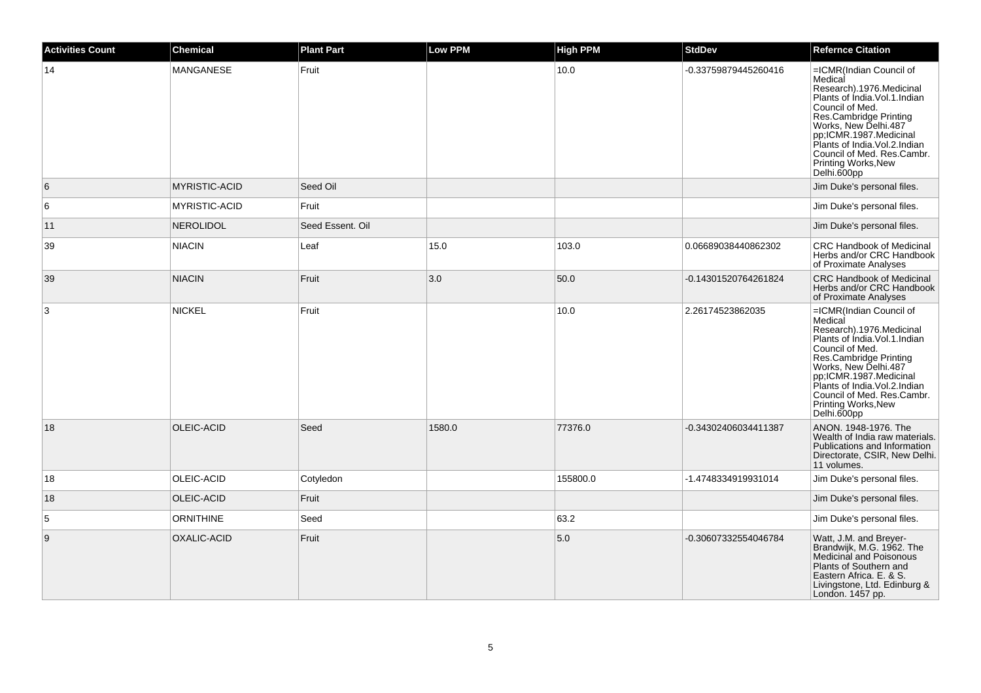| <b>Activities Count</b> | <b>Chemical</b>      | <b>Plant Part</b> | <b>Low PPM</b> | <b>High PPM</b> | <b>StdDev</b>        | <b>Refernce Citation</b>                                                                                                                                                                                                                                                                                |
|-------------------------|----------------------|-------------------|----------------|-----------------|----------------------|---------------------------------------------------------------------------------------------------------------------------------------------------------------------------------------------------------------------------------------------------------------------------------------------------------|
| 14                      | MANGANESE            | Fruit             |                | 10.0            | -0.33759879445260416 | =ICMR(Indian Council of<br>Medical<br>Research).1976.Medicinal<br>Plants of India.Vol.1.Indian<br>Council of Med.<br>Res.Cambridge Printing<br>Works, New Delhi.487<br>pp;ICMR.1987.Medicinal<br>Plants of India.Vol.2.Indian<br>Council of Med. Res.Cambr.<br>Printing Works, New<br>Delhi.600pp       |
| 6                       | <b>MYRISTIC-ACID</b> | Seed Oil          |                |                 |                      | Jim Duke's personal files.                                                                                                                                                                                                                                                                              |
| 6                       | MYRISTIC-ACID        | Fruit             |                |                 |                      | Jim Duke's personal files.                                                                                                                                                                                                                                                                              |
| 11                      | <b>NEROLIDOL</b>     | Seed Essent. Oil  |                |                 |                      | Jim Duke's personal files.                                                                                                                                                                                                                                                                              |
| 39                      | <b>NIACIN</b>        | Leaf              | 15.0           | 103.0           | 0.06689038440862302  | CRC Handbook of Medicinal<br>Herbs and/or CRC Handbook<br>of Proximate Analyses                                                                                                                                                                                                                         |
| 39                      | <b>NIACIN</b>        | Fruit             | 3.0            | 50.0            | -0.14301520764261824 | <b>CRC Handbook of Medicinal</b><br>Herbs and/or CRC Handbook<br>of Proximate Analyses                                                                                                                                                                                                                  |
| 3                       | <b>NICKEL</b>        | Fruit             |                | 10.0            | 2.26174523862035     | =ICMR(Indian Council of<br>Medical<br>Research).1976.Medicinal<br>Plants of Índia. Vol. 1. Indian<br>Council of Med.<br>Res.Cambridge Printing<br>Works, New Delhi.487<br>pp;ICMR.1987.Medicinal<br>Plants of India. Vol. 2. Indian<br>Council of Med. Res.Cambr.<br>Printing Works, New<br>Delhi.600pp |
| 18                      | OLEIC-ACID           | Seed              | 1580.0         | 77376.0         | -0.34302406034411387 | ANON. 1948-1976. The<br>Wealth of India raw materials.<br>Publications and Information<br>Directorate, CSIR, New Delhi.<br>11 volumes.                                                                                                                                                                  |
| 18                      | OLEIC-ACID           | Cotyledon         |                | 155800.0        | -1.4748334919931014  | Jim Duke's personal files.                                                                                                                                                                                                                                                                              |
| 18                      | OLEIC-ACID           | Fruit             |                |                 |                      | Jim Duke's personal files.                                                                                                                                                                                                                                                                              |
| 5                       | <b>ORNITHINE</b>     | Seed              |                | 63.2            |                      | Jim Duke's personal files.                                                                                                                                                                                                                                                                              |
| 9                       | OXALIC-ACID          | Fruit             |                | 5.0             | -0.30607332554046784 | Watt, J.M. and Breyer-<br>Brandwijk, M.G. 1962. The<br>Medicinal and Poisonous<br>Plants of Southern and<br>Eastern Africa. E. & S.<br>Livingstone, Ltd. Edinburg &<br>London. 1457 pp.                                                                                                                 |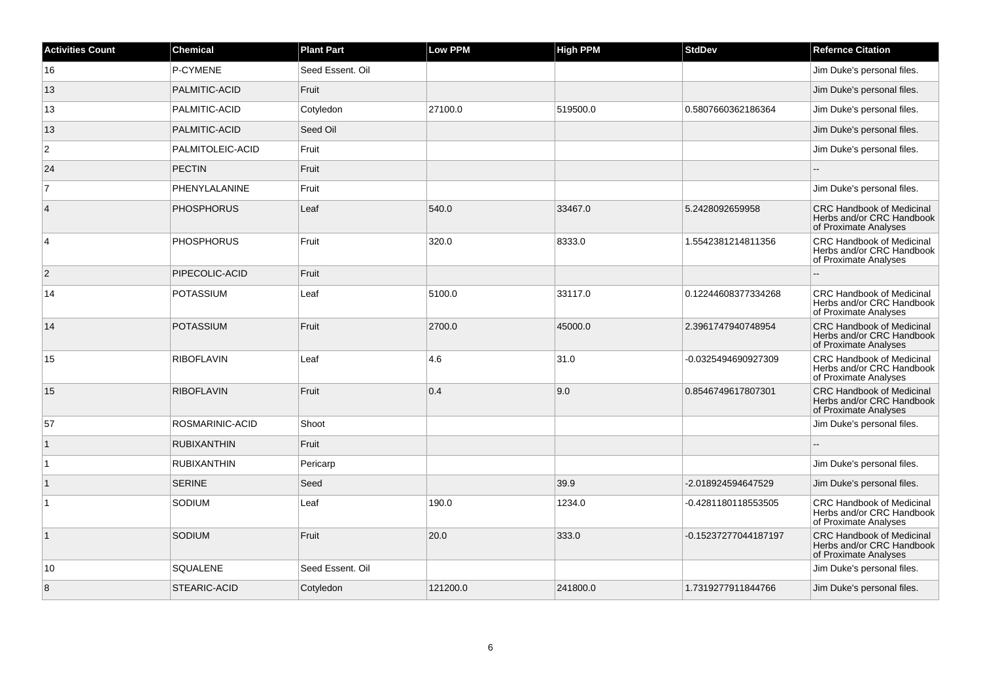| <b>Activities Count</b> | <b>Chemical</b>    | <b>Plant Part</b> | <b>Low PPM</b> | <b>High PPM</b> | <b>StdDev</b>        | <b>Refernce Citation</b>                                                               |
|-------------------------|--------------------|-------------------|----------------|-----------------|----------------------|----------------------------------------------------------------------------------------|
| 16                      | P-CYMENE           | Seed Essent, Oil  |                |                 |                      | Jim Duke's personal files.                                                             |
| 13                      | PALMITIC-ACID      | Fruit             |                |                 |                      | Jim Duke's personal files.                                                             |
| 13                      | PALMITIC-ACID      | Cotyledon         | 27100.0        | 519500.0        | 0.5807660362186364   | Jim Duke's personal files.                                                             |
| 13                      | PALMITIC-ACID      | Seed Oil          |                |                 |                      | Jim Duke's personal files.                                                             |
| 2                       | PALMITOLEIC-ACID   | Fruit             |                |                 |                      | Jim Duke's personal files.                                                             |
| 24                      | <b>PECTIN</b>      | Fruit             |                |                 |                      |                                                                                        |
| $\overline{7}$          | PHENYLALANINE      | Fruit             |                |                 |                      | Jim Duke's personal files.                                                             |
| $\overline{4}$          | <b>PHOSPHORUS</b>  | Leaf              | 540.0          | 33467.0         | 5.2428092659958      | <b>CRC Handbook of Medicinal</b><br>Herbs and/or CRC Handbook<br>of Proximate Analyses |
| $\overline{4}$          | <b>PHOSPHORUS</b>  | Fruit             | 320.0          | 8333.0          | 1.5542381214811356   | CRC Handbook of Medicinal<br>Herbs and/or CRC Handbook<br>of Proximate Analyses        |
| $\overline{2}$          | PIPECOLIC-ACID     | Fruit             |                |                 |                      | Ξ.                                                                                     |
| 14                      | <b>POTASSIUM</b>   | Leaf              | 5100.0         | 33117.0         | 0.12244608377334268  | <b>CRC Handbook of Medicinal</b><br>Herbs and/or CRC Handbook<br>of Proximate Analyses |
| 14                      | <b>POTASSIUM</b>   | Fruit             | 2700.0         | 45000.0         | 2.3961747940748954   | <b>CRC Handbook of Medicinal</b><br>Herbs and/or CRC Handbook<br>of Proximate Analyses |
| 15                      | <b>RIBOFLAVIN</b>  | Leaf              | 4.6            | 31.0            | -0.0325494690927309  | CRC Handbook of Medicinal<br>Herbs and/or CRC Handbook<br>of Proximate Analyses        |
| 15                      | <b>RIBOFLAVIN</b>  | Fruit             | 0.4            | 9.0             | 0.8546749617807301   | <b>CRC Handbook of Medicinal</b><br>Herbs and/or CRC Handbook<br>of Proximate Analyses |
| 57                      | ROSMARINIC-ACID    | Shoot             |                |                 |                      | Jim Duke's personal files.                                                             |
| $\vert$ 1               | <b>RUBIXANTHIN</b> | Fruit             |                |                 |                      |                                                                                        |
| $\mathbf{1}$            | <b>RUBIXANTHIN</b> | Pericarp          |                |                 |                      | Jim Duke's personal files.                                                             |
| $\vert$ 1               | <b>SERINE</b>      | Seed              |                | 39.9            | -2.018924594647529   | Jim Duke's personal files.                                                             |
| $\mathbf{1}$            | SODIUM             | Leaf              | 190.0          | 1234.0          | -0.4281180118553505  | <b>CRC Handbook of Medicinal</b><br>Herbs and/or CRC Handbook<br>of Proximate Analyses |
| $\mathbf{1}$            | <b>SODIUM</b>      | Fruit             | 20.0           | 333.0           | -0.15237277044187197 | <b>CRC Handbook of Medicinal</b><br>Herbs and/or CRC Handbook<br>of Proximate Analyses |
| 10                      | <b>SQUALENE</b>    | Seed Essent, Oil  |                |                 |                      | Jim Duke's personal files.                                                             |
| 8                       | STEARIC-ACID       | Cotyledon         | 121200.0       | 241800.0        | 1.7319277911844766   | Jim Duke's personal files.                                                             |